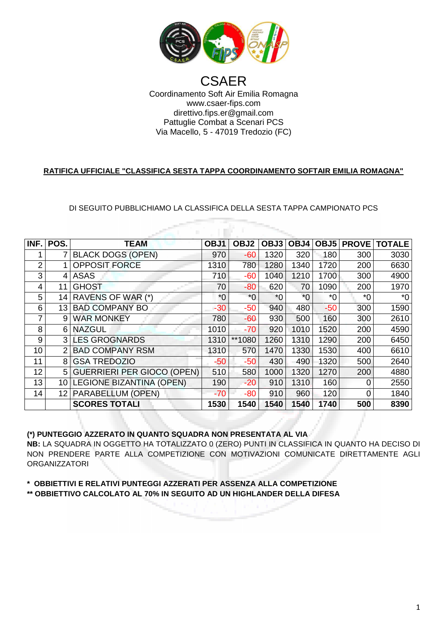

## Coordinamento Soft Air Emilia Romagna Via Macello Macello, 5 - 47019 Tredozio (FC) CSAER www.csaer-fips.com direttivo.fips.er@gmail.com Pattuglie Combat a Scenari PCS

## **RATIFICA UFFICIALE "CLASSIFICA SESTA TAPPA COORDINAMENTO SOFTAIR EMILIA ROMAGNA"**

## DI SEGUITO PUBBLICHIAMO LA CLASSIFICA DELLA SESTA TAPPA CAMPIONATO PCS A

| INF. | POS.            | <b>TEAM</b>                       | OBJ1  | OBJ2   | OBJ3 |       |       |      | OBJ4   OBJ5   PROVE   TOTALE |  |
|------|-----------------|-----------------------------------|-------|--------|------|-------|-------|------|------------------------------|--|
|      |                 | <b>BLACK DOGS (OPEN)</b>          | 970   | $-60$  | 1320 | 320   | 180   | 300  | 3030                         |  |
| 2    |                 | <b>OPPOSIT FORCE</b>              | 1310  | 780    | 1280 | 1340  | 1720  | 200  | 6630                         |  |
| 3    | 4               | <b>ASAS</b>                       | 710   | $-60$  | 1040 | 1210  | 1700  | 300  | 4900                         |  |
| 4    | 11              | <b>GHOST</b>                      | 70    | $-80$  | 620  | 70    | 1090  | 200  | 1970                         |  |
| 5    | 14              | RAVENS OF WAR (*)                 | $^*0$ | $*0$   | $*0$ | $^*0$ | $^*0$ | $*0$ | $*0$                         |  |
| 6    | 13              | <b>BAD COMPANY BO</b>             | $-30$ | $-50$  | 940  | 480   | $-50$ | 300  | 1590                         |  |
| 7    | 9               | <b>WAR MONKEY</b>                 | 780   | $-60$  | 930  | 500   | 160   | 300  | 2610                         |  |
| 8    | 6               | <b>NAZGUL</b>                     | 1010  | $-70$  | 920  | 1010  | 1520  | 200  | 4590                         |  |
| 9    | 3 <sup>1</sup>  | <b>LES GROGNARDS</b>              | 1310  | **1080 | 1260 | 1310  | 1290  | 200  | 6450                         |  |
| 10   | 2               | <b>BAD COMPANY RSM</b>            | 1310  | 570    | 1470 | 1330  | 1530  | 400  | 6610                         |  |
| 11   | 8               | <b>GSA TREDOZIO</b>               | -50   | $-50$  | 430  | 490   | 1320  | 500  | 2640                         |  |
| 12   | 51              | <b>GUERRIERI PER GIOCO (OPEN)</b> | 510   | 580    | 1000 | 1320  | 1270  | 200  | 4880                         |  |
| 13   | 10              | <b>LEGIONE BIZANTINA (OPEN)</b>   | 190   | $-20$  | 910  | 1310  | 160   | 0    | 2550                         |  |
| 14   | 12 <sub>1</sub> | PARABELLUM (OPEN)                 | $-70$ | $-80$  | 910  | 960   | 120   | 0    | 1840                         |  |
|      |                 | <b>SCORES TOTALI</b>              | 1530  | 1540   | 1540 | 1540  | 1740  | 500  | 8390                         |  |

**(\*) PUNTEGGIO AZZERATO IN QUANTO SQUADR SQUADRA NON PRESENTATA AL VIA** 

**NB:** LA SQUADRA IN OGGETTO HA TOTALIZZATO 0 (ZERO) PUNTI IN CLASSIFICA IN QUANTO HA DECISO DI NON PRENDERE PARTE ALLA COMPETIZIONE CON MOTIVAZIONI COMUNICATE DIRETTAMENTE AGLI **ORGANIZZATORI** 

\* OBBIETTIVI E RELATIVI PUNTEGGI AZZERATI PER ASSENZA ALLA COMPETIZIONE **\*\* OBBIETTIVO CALCOLATO AL 70% IN SEGUITO A AD UN HIGHLANDER DELLA DIF FESA**